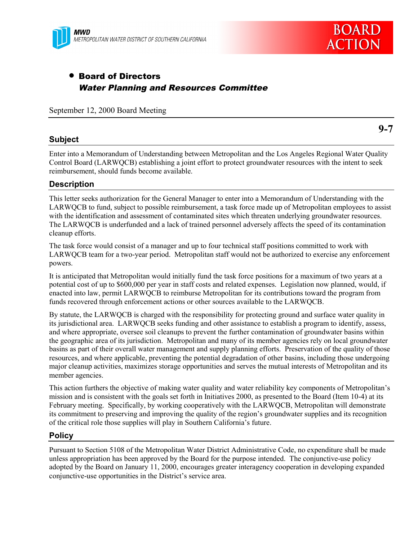

# • Board of Directors Water Planning and Resources Committee

September 12, 2000 Board Meeting

# **Subject**

**9-7**

Enter into a Memorandum of Understanding between Metropolitan and the Los Angeles Regional Water Quality Control Board (LARWQCB) establishing a joint effort to protect groundwater resources with the intent to seek reimbursement, should funds become available.

# **Description**

This letter seeks authorization for the General Manager to enter into a Memorandum of Understanding with the LARWQCB to fund, subject to possible reimbursement, a task force made up of Metropolitan employees to assist with the identification and assessment of contaminated sites which threaten underlying groundwater resources. The LARWQCB is underfunded and a lack of trained personnel adversely affects the speed of its contamination cleanup efforts.

The task force would consist of a manager and up to four technical staff positions committed to work with LARWQCB team for a two-year period. Metropolitan staff would not be authorized to exercise any enforcement powers.

It is anticipated that Metropolitan would initially fund the task force positions for a maximum of two years at a potential cost of up to \$600,000 per year in staff costs and related expenses. Legislation now planned, would, if enacted into law, permit LARWQCB to reimburse Metropolitan for its contributions toward the program from funds recovered through enforcement actions or other sources available to the LARWQCB.

By statute, the LARWQCB is charged with the responsibility for protecting ground and surface water quality in its jurisdictional area. LARWQCB seeks funding and other assistance to establish a program to identify, assess, and where appropriate, oversee soil cleanups to prevent the further contamination of groundwater basins within the geographic area of its jurisdiction. Metropolitan and many of its member agencies rely on local groundwater basins as part of their overall water management and supply planning efforts. Preservation of the quality of those resources, and where applicable, preventing the potential degradation of other basins, including those undergoing major cleanup activities, maximizes storage opportunities and serves the mutual interests of Metropolitan and its member agencies.

This action furthers the objective of making water quality and water reliability key components of Metropolitan's mission and is consistent with the goals set forth in Initiatives 2000, as presented to the Board (Item 10-4) at its February meeting. Specifically, by working cooperatively with the LARWQCB, Metropolitan will demonstrate its commitment to preserving and improving the quality of the region's groundwater supplies and its recognition of the critical role those supplies will play in Southern California's future.

### **Policy**

Pursuant to Section 5108 of the Metropolitan Water District Administrative Code, no expenditure shall be made unless appropriation has been approved by the Board for the purpose intended. The conjunctive-use policy adopted by the Board on January 11, 2000, encourages greater interagency cooperation in developing expanded conjunctive-use opportunities in the District's service area.